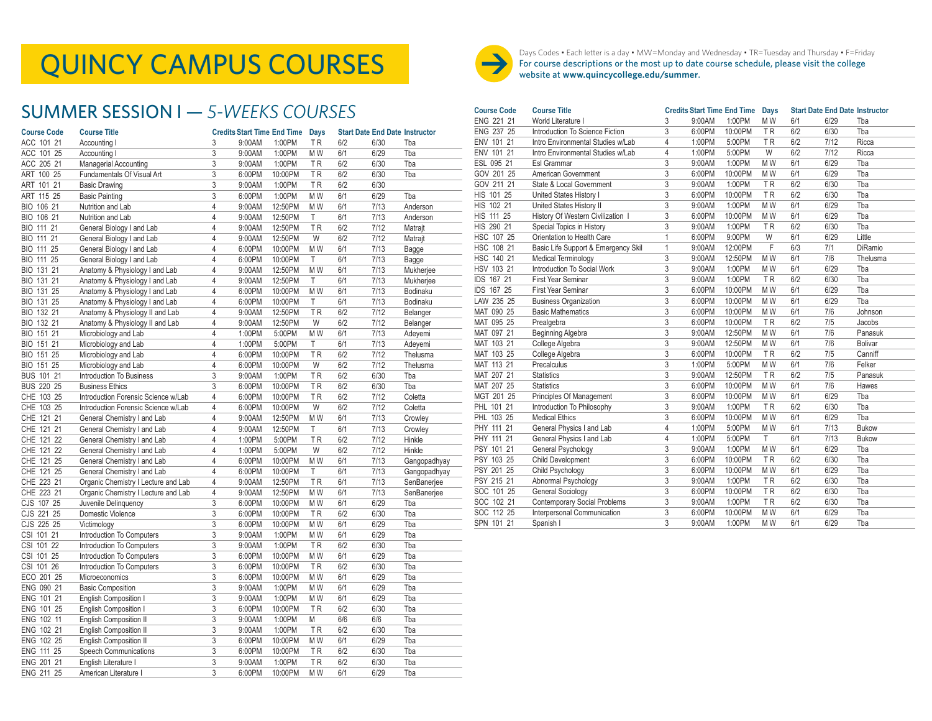### SUMMER SESSION I — *5-WEEKS COURSES*

| <b>Course Code</b>   | <b>Course Title</b>                 |                | <b>Credits Start Time End Time</b> |         | <b>Days</b>    |     | <b>Start Date End Date Instructor</b> |              |
|----------------------|-------------------------------------|----------------|------------------------------------|---------|----------------|-----|---------------------------------------|--------------|
| ACC 101 21           | Accounting I                        | 3              | 9:00AM                             | 1:00PM  | ΤR             | 6/2 | 6/30                                  | Tba          |
| ACC 101 25           | Accounting I                        | 3              | 9:00AM                             | 1:00PM  | M W            | 6/1 | 6/29                                  | Tba          |
| ACC 205 21           | Managerial Accounting               | 3              | 9:00AM                             | 1:00PM  | TR             | 6/2 | 6/30                                  | Tba          |
| ART 100 25           | Fundamentals Of Visual Art          | 3              | 6:00PM                             | 10:00PM | TR             | 6/2 | 6/30                                  | Tba          |
| ART 101 21           | <b>Basic Drawing</b>                | 3              | 9:00AM                             | 1:00PM  | TR             | 6/2 | 6/30                                  |              |
| ART 115 25           | <b>Basic Painting</b>               | 3              | 6:00PM                             | 1:00PM  | M W            | 6/1 | 6/29                                  | Tba          |
| BIO 106 21           | Nutrition and Lab                   | $\overline{4}$ | 9:00AM                             | 12:50PM | M <sub>W</sub> | 6/1 | 7/13                                  | Anderson     |
| BIO 106 21           | Nutrition and Lab                   | $\overline{4}$ | 9:00AM                             | 12:50PM | Τ              | 6/1 | 7/13                                  | Anderson     |
| BIO 111 21           | General Biology I and Lab           | $\overline{4}$ | 9:00AM                             | 12:50PM | ΤR             | 6/2 | 7/12                                  | Matrajt      |
| <b>BIO 111</b><br>21 | General Biology I and Lab           | $\overline{4}$ | 9:00AM                             | 12:50PM | W              | 6/2 | 7/12                                  | Matrajt      |
| BIO 111 25           | General Biology I and Lab           | $\overline{4}$ | 6:00PM                             | 10:00PM | M W            | 6/1 | 7/13                                  | Bagge        |
| BIO 111 25           | General Biology I and Lab           | $\overline{4}$ | 6:00PM                             | 10:00PM | Τ              | 6/1 | 7/13                                  | Bagge        |
| BIO 131 21           | Anatomy & Physiology I and Lab      | $\overline{4}$ | 9:00AM                             | 12:50PM | MW             | 6/1 | 7/13                                  | Mukherjee    |
| BIO 131 21           | Anatomy & Physiology I and Lab      | $\overline{4}$ | 9:00AM                             | 12:50PM | T              | 6/1 | 7/13                                  | Mukherjee    |
| BIO 131 25           | Anatomy & Physiology I and Lab      | $\overline{4}$ | 6:00PM                             | 10:00PM | M W            | 6/1 | 7/13                                  | Bodinaku     |
| BIO 131 25           | Anatomy & Physiology I and Lab      | $\overline{4}$ | 6:00PM                             | 10:00PM | Τ              | 6/1 | 7/13                                  | Bodinaku     |
| BIO 132 21           | Anatomy & Physiology II and Lab     | $\overline{4}$ | 9:00AM                             | 12:50PM | ΤR             | 6/2 | 7/12                                  | Belanger     |
| BIO 132 21           | Anatomy & Physiology II and Lab     | $\overline{4}$ | 9:00AM                             | 12:50PM | W              | 6/2 | 7/12                                  | Belanger     |
| BIO 151 21           | Microbiology and Lab                | $\overline{4}$ | 1:00PM                             | 5:00PM  | M W            | 6/1 | 7/13                                  | Adeyemi      |
| BIO 151 21           | Microbiology and Lab                | $\overline{4}$ | 1:00PM                             | 5:00PM  | T              | 6/1 | 7/13                                  | Adeyemi      |
| BIO 151 25           | Microbiology and Lab                | $\overline{4}$ | 6:00PM                             | 10:00PM | TR             | 6/2 | 7/12                                  | Thelusma     |
| BIO 151 25           | Microbiology and Lab                | $\overline{4}$ | 6:00PM                             | 10:00PM | W              | 6/2 | 7/12                                  | Thelusma     |
| BUS 101 21           | Introduction To Business            | 3              | 9:00AM                             | 1:00PM  | ΤR             | 6/2 | 6/30                                  | Tba          |
| BUS 220 25           | <b>Business Ethics</b>              | 3              | 6:00PM                             | 10:00PM | TR             | 6/2 | 6/30                                  | Tba          |
| CHE 103 25           | Introduction Forensic Science w/Lab | $\overline{4}$ | 6:00PM                             | 10:00PM | <b>TR</b>      | 6/2 | 7/12                                  | Coletta      |
| CHE 103 25           | Introduction Forensic Science w/Lab | 4              | 6:00PM                             | 10:00PM | W              | 6/2 | 7/12                                  | Coletta      |
| CHE 121 21           | General Chemistry I and Lab         | $\overline{4}$ | 9:00AM                             | 12:50PM | M <sub>W</sub> | 6/1 | 7/13                                  | Crowley      |
| CHE 121 21           | General Chemistry I and Lab         | $\overline{4}$ | 9:00AM                             | 12:50PM | T              | 6/1 | 7/13                                  | Crowley      |
| CHE 121 22           | General Chemistry I and Lab         | $\overline{4}$ | 1:00PM                             | 5:00PM  | ΤR             | 6/2 | 7/12                                  | Hinkle       |
| CHE 121 22           | General Chemistry I and Lab         | $\overline{4}$ | 1:00PM                             | 5:00PM  | W              | 6/2 | 7/12                                  | Hinkle       |
| CHE 121 25           | General Chemistry I and Lab         | $\overline{4}$ | 6:00PM                             | 10:00PM | M W            | 6/1 | 7/13                                  | Gangopadhyay |
| CHE 121 25           | General Chemistry I and Lab         | $\overline{4}$ | 6:00PM                             | 10:00PM | Τ              | 6/1 | 7/13                                  | Gangopadhyay |
| CHE 223 21           | Organic Chemistry I Lecture and Lab | $\overline{4}$ | 9:00AM                             | 12:50PM | TR             | 6/1 | 7/13                                  | SenBanerjee  |
| CHE 223 21           | Organic Chemistry I Lecture and Lab | $\overline{4}$ | 9:00AM                             | 12:50PM | M W            | 6/1 | 7/13                                  | SenBanerjee  |
| CJS 107 25           | Juvenile Delinquency                | 3              | 6:00PM                             | 10:00PM | M W            | 6/1 | 6/29                                  | Tba          |
| CJS 221 25           | Domestic Violence                   | 3              | 6:00PM                             | 10:00PM | <b>TR</b>      | 6/2 | 6/30                                  | Tba          |
| CJS 225 25           | Victimology                         | 3              | 6:00PM                             | 10:00PM | M W            | 6/1 | 6/29                                  | Tba          |
| CSI 101 21           | Introduction To Computers           | 3              | 9:00AM                             | 1:00PM  | M W            | 6/1 | 6/29                                  | Tba          |
| CSI 101 22           | Introduction To Computers           | 3              | 9:00AM                             | 1:00PM  | ΤR             | 6/2 | 6/30                                  | Tba          |
| CSI 101 25           | Introduction To Computers           | 3              | 6:00PM                             | 10:00PM | M W            | 6/1 | 6/29                                  | Tba          |
| CSI 101 26           | Introduction To Computers           | 3              | 6:00PM                             | 10:00PM | TR             | 6/2 | 6/30                                  | Tba          |
| ECO 201 25           | Microeconomics                      | 3              | 6:00PM                             | 10:00PM | M W            | 6/1 | 6/29                                  | Tba          |
| ENG 090 21           | <b>Basic Composition</b>            | 3              | 9:00AM                             | 1:00PM  | M W            | 6/1 | 6/29                                  | Tba          |
| ENG 101 21           | English Composition I               | 3              | 9:00AM                             | 1:00PM  | M W            | 6/1 | 6/29                                  | Tba          |
| ENG 101 25           | English Composition I               | 3              | 6:00PM                             | 10:00PM | TR             | 6/2 | 6/30                                  | Tba          |
| ENG 102 11           | English Composition II              | 3              | 9:00AM                             | 1:00PM  | M              | 6/6 | 6/6                                   | Tba          |
| ENG 102 21           | English Composition II              | 3              | 9:00AM                             | 1:00PM  | ΤR             | 6/2 | 6/30                                  | Tba          |
| ENG 102 25           | English Composition II              | 3              | 6:00PM                             | 10:00PM | M W            | 6/1 | 6/29                                  | Tba          |
| ENG 111 25           | Speech Communications               | 3              | 6:00PM                             | 10:00PM | TR             | 6/2 | 6/30                                  | Tba          |
| ENG 201 21           | English Literature I                | 3              | 9:00AM                             | 1:00PM  | TR             | 6/2 | 6/30                                  | Tba          |
| ENG 211 25           | American Literature I               | 3              | 6:00PM                             | 10:00PM | MW             | 6/1 | 6/29                                  | Tba          |



Days Codes • Each letter is a day • MW=Monday and Wednesday • TR=Tuesday and Thursday • F=Friday<br>For course descriptions or the most up to date course schedule, please visit the college<br>website at www.quincycollege.edu/sum For course descriptions or the most up to date course schedule, please visit the college website at **www.quincycollege.edu/summer**.

| <b>Course Code</b> | <b>Course Title</b>                 |              | <b>Credits Start Time End Time</b> |         | <b>Days</b>    |     | <b>Start Date End Date Instructor</b> |                |
|--------------------|-------------------------------------|--------------|------------------------------------|---------|----------------|-----|---------------------------------------|----------------|
| ENG 221 21         | World Literature I                  | 3            | 9:00AM                             | 1:00PM  | MW             | 6/1 | 6/29                                  | Tba            |
| ENG 237 25         | Introduction To Science Fiction     | 3            | 6:00PM                             | 10:00PM | <b>TR</b>      | 6/2 | 6/30                                  | Tba            |
| ENV 101 21         | Intro Environmental Studies w/Lab   | 4            | 1:00PM                             | 5:00PM  | <b>TR</b>      | 6/2 | 7/12                                  | Ricca          |
| ENV 101 21         | Intro Environmental Studies w/Lab   | 4            | 1:00PM                             | 5:00PM  | W              | 6/2 | 7/12                                  | Ricca          |
| ESL 095 21         | <b>Esl Grammar</b>                  | 3            | 9:00AM                             | 1:00PM  | M W            | 6/1 | 6/29                                  | Tba            |
| GOV 201 25         | American Government                 | 3            | 6:00PM                             | 10:00PM | M W            | 6/1 | 6/29                                  | Tba            |
| GOV 211 21         | State & Local Government            | 3            | 9:00AM                             | 1:00PM  | <b>TR</b>      | 6/2 | 6/30                                  | Tba            |
| HIS 101 25         | United States History I             | 3            | 6:00PM                             | 10:00PM | <b>TR</b>      | 6/2 | 6/30                                  | Tba            |
| HIS 102 21         | United States History II            | 3            | 9:00AM                             | 1:00PM  | MW             | 6/1 | 6/29                                  | Tba            |
| HIS 111 25         | History Of Western Civilization I   | 3            | 6:00PM                             | 10:00PM | M W            | 6/1 | 6/29                                  | Tba            |
| HIS 290 21         | Special Topics in History           | 3            | 9:00AM                             | 1:00PM  | <b>TR</b>      | 6/2 | 6/30                                  | Tba            |
| HSC 107 25         | Orientation to Health Care          | 1            | 6:00PM                             | 9:00PM  | W              | 6/1 | 6/29                                  | Little         |
| HSC 108 21         | Basic Life Support & Emergency Skil | $\mathbf{1}$ | 9:00AM                             | 12:00PM | F              | 6/3 | 7/1                                   | DiRamio        |
| HSC 140 21         | Medical Terminology                 | 3            | 9:00AM                             | 12:50PM | MW             | 6/1 | 7/6                                   | Thelusma       |
| HSV 103 21         | Introduction To Social Work         | 3            | 9:00AM                             | 1:00PM  | M W            | 6/1 | 6/29                                  | Tba            |
| IDS 167 21         | First Year Seminar                  | 3            | 9:00AM                             | 1:00PM  | <b>TR</b>      | 6/2 | 6/30                                  | Tba            |
| IDS 167 25         | First Year Seminar                  | 3            | 6:00PM                             | 10:00PM | MW             | 6/1 | 6/29                                  | Tba            |
| LAW 235 25         | <b>Business Organization</b>        | 3            | 6:00PM                             | 10:00PM | M <sub>W</sub> | 6/1 | 6/29                                  | Tba            |
| MAT 090 25         | <b>Basic Mathematics</b>            | 3            | 6:00PM                             | 10:00PM | M W            | 6/1 | 7/6                                   | Johnson        |
| MAT 095 25         | Prealgebra                          | 3            | 6:00PM                             | 10:00PM | <b>TR</b>      | 6/2 | 7/5                                   | Jacobs         |
| MAT 097 21         | Beginning Algebra                   | 3            | 9:00AM                             | 12:50PM | M W            | 6/1 | 7/6                                   | Panasuk        |
| MAT 103 21         | College Algebra                     | 3            | 9:00AM                             | 12:50PM | M W            | 6/1 | 7/6                                   | <b>Bolivar</b> |
| MAT 103 25         | College Algebra                     | 3            | 6:00PM                             | 10:00PM | <b>TR</b>      | 6/2 | 7/5                                   | Canniff        |
| MAT 113 21         | Precalculus                         | 3            | 1:00PM                             | 5:00PM  | MW             | 6/1 | 7/6                                   | Felker         |
| MAT 207 21         | <b>Statistics</b>                   | 3            | 9:00AM                             | 12:50PM | <b>TR</b>      | 6/2 | 7/5                                   | Panasuk        |
| MAT 207 25         | <b>Statistics</b>                   | 3            | 6:00PM                             | 10:00PM | MW             | 6/1 | 7/6                                   | Hawes          |
| MGT 201 25         | Principles Of Management            | 3            | 6:00PM                             | 10:00PM | M W            | 6/1 | 6/29                                  | Tba            |
| PHL 101 21         | Introduction To Philosophy          | 3            | 9:00AM                             | 1:00PM  | TR.            | 6/2 | 6/30                                  | Tba            |
| PHL 103 25         | <b>Medical Ethics</b>               | 3            | 6:00PM                             | 10:00PM | MW             | 6/1 | 6/29                                  | Tba            |
| PHY 111 21         | General Physics I and Lab           | 4            | 1:00PM                             | 5:00PM  | M W            | 6/1 | 7/13                                  | <b>Bukow</b>   |
| PHY 111 21         | General Physics I and Lab           | 4            | 1:00PM                             | 5:00PM  | T              | 6/1 | 7/13                                  | <b>Bukow</b>   |
| PSY 101 21         | General Psychology                  | 3            | 9:00AM                             | 1:00PM  | MW             | 6/1 | 6/29                                  | Tba            |
| PSY 103 25         | Child Development                   | 3            | 6:00PM                             | 10:00PM | <b>TR</b>      | 6/2 | 6/30                                  | Tba            |
| PSY 201 25         | Child Psychology                    | 3            | 6:00PM                             | 10:00PM | MW             | 6/1 | 6/29                                  | Tba            |
| PSY 215 21         | Abnormal Psychology                 | 3            | 9:00AM                             | 1:00PM  | <b>TR</b>      | 6/2 | 6/30                                  | Tba            |
| SOC 101 25         | General Sociology                   | 3            | 6:00PM                             | 10:00PM | <b>TR</b>      | 6/2 | 6/30                                  | Tba            |
| SOC 102 21         | <b>Contemporary Social Problems</b> | 3            | 9:00AM                             | 1:00PM  | <b>TR</b>      | 6/2 | 6/30                                  | Tba            |
| SOC 112 25         | Interpersonal Communication         | 3            | 6:00PM                             | 10:00PM | M W            | 6/1 | 6/29                                  | Tba            |
| SPN 101 21         | Spanish I                           | 3            | 9:00AM                             | 1:00PM  | MW             | 6/1 | 6/29                                  | Tba            |
|                    |                                     |              |                                    |         |                |     |                                       |                |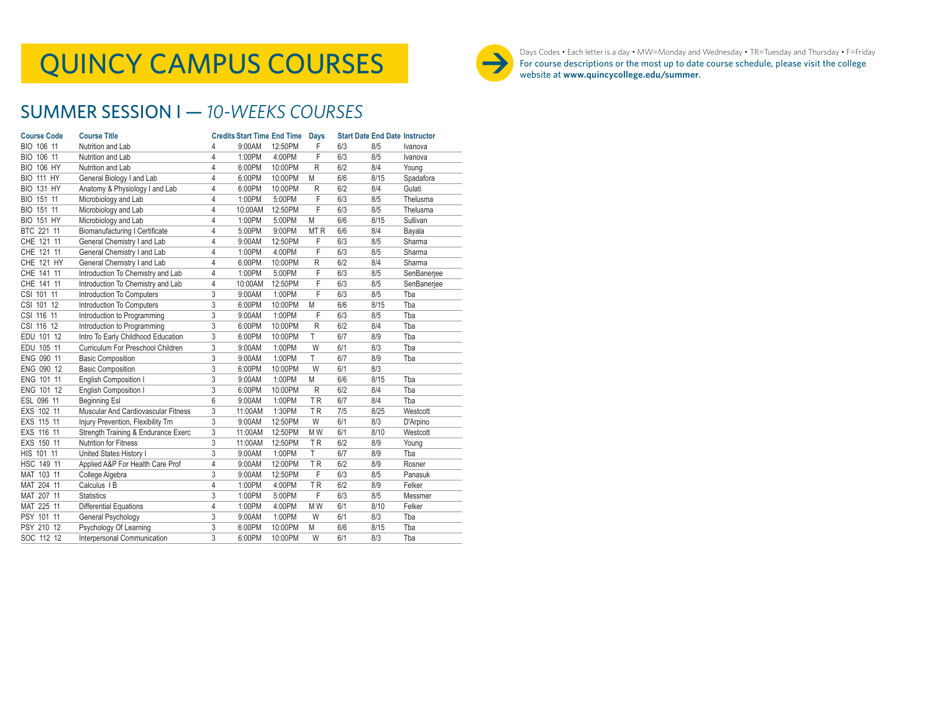# QUINCY CAMPUS COURSES



Days Codes • Each letter is a day • MW=Monday and Wednesday • TR=Tuesday and Thursday • F=Friday For course descriptions or the most up to date course schedule, please visit the college website at **www.quincycollege.edu/summer**.

## SUMMER SESSION I — *10-WEEKS COURSES*

| <b>Course Code</b>   | <b>Course Title</b>                   |   | <b>Credits Start Time End Time</b> |         | <b>Days</b>     |     | <b>Start Date End Date Instructor</b> |             |
|----------------------|---------------------------------------|---|------------------------------------|---------|-----------------|-----|---------------------------------------|-------------|
| BIO 106 11           | Nutrition and Lab                     | 4 | 9:00AM                             | 12:50PM | F               | 6/3 | 8/5                                   | Ivanova     |
| <b>BIO</b><br>106 11 | Nutrition and Lab                     | 4 | 1:00PM                             | 4:00PM  | F               | 6/3 | 8/5                                   | Ivanova     |
| <b>BIO 106 HY</b>    | Nutrition and Lab                     | 4 | 6:00PM                             | 10:00PM | $\mathsf{R}$    | 6/2 | 8/4                                   | Young       |
| <b>BIO 111 HY</b>    | General Biology I and Lab             | 4 | 6:00PM                             | 10:00PM | M               | 6/6 | 8/15                                  | Spadafora   |
| <b>BIO 131 HY</b>    | Anatomy & Physiology I and Lab        | 4 | 6:00PM                             | 10:00PM | R               | 6/2 | 8/4                                   | Gulati      |
| BIO 151 11           | Microbiology and Lab                  | 4 | 1:00PM                             | 5:00PM  | F               | 6/3 | 8/5                                   | Thelusma    |
| BIO 151 11           | Microbiology and Lab                  | 4 | 10:00AM                            | 12:50PM | F               | 6/3 | 8/5                                   | Thelusma    |
| <b>BIO 151 HY</b>    | Microbiology and Lab                  | 4 | 1:00PM                             | 5:00PM  | M               | 6/6 | 8/15                                  | Sullivan    |
| BTC 221 11           | <b>Biomanufacturing I Certificate</b> | 4 | 5:00PM                             | 9:00PM  | MT <sub>R</sub> | 6/6 | 8/4                                   | Bayala      |
| CHE 121 11           | General Chemistry I and Lab           | 4 | 9:00AM                             | 12:50PM | F               | 6/3 | 8/5                                   | Sharma      |
| CHE 121 11           | General Chemistry I and Lab           | 4 | 1:00PM                             | 4:00PM  | F               | 6/3 | 8/5                                   | Sharma      |
| CHE 121 HY           | General Chemistry I and Lab           | 4 | 6:00PM                             | 10:00PM | R               | 6/2 | 8/4                                   | Sharma      |
| CHE 141 11           | Introduction To Chemistry and Lab     | 4 | 1:00PM                             | 5:00PM  | F               | 6/3 | 8/5                                   | SenBanerjee |
| CHE 141 11           | Introduction To Chemistry and Lab     | 4 | 10:00AM                            | 12:50PM | F               | 6/3 | 8/5                                   | SenBanerjee |
| CSI 101 11           | Introduction To Computers             | 3 | 9:00AM                             | 1:00PM  | F               | 6/3 | 8/5                                   | Tba         |
| CSI 101 12           | Introduction To Computers             | 3 | 6:00PM                             | 10:00PM | M               | 6/6 | 8/15                                  | Tba         |
| CSI 116 11           | Introduction to Programming           | 3 | 9:00AM                             | 1:00PM  | F               | 6/3 | 8/5                                   | Tba         |
| CSI 116 12           | Introduction to Programming           | 3 | 6:00PM                             | 10:00PM | R               | 6/2 | 8/4                                   | Tba         |
| EDU 101 12           | Intro To Early Childhood Education    | 3 | 6:00PM                             | 10:00PM | T               | 6/7 | 8/9                                   | Tba         |
| EDU 105 11           | Curriculum For Preschool Children     | 3 | 9:00AM                             | 1:00PM  | W               | 6/1 | 8/3                                   | Tba         |
| ENG 090 11           | <b>Basic Composition</b>              | 3 | 9:00AM                             | 1:00PM  | T               | 6/7 | 8/9                                   | Tba         |
| ENG 090 12           | <b>Basic Composition</b>              | 3 | 6:00PM                             | 10:00PM | W               | 6/1 | 8/3                                   |             |
| ENG 101 11           | English Composition I                 | 3 | 9:00AM                             | 1:00PM  | M               | 6/6 | 8/15                                  | Tba         |
| ENG 101 12           | English Composition I                 | 3 | 6:00PM                             | 10:00PM | R               | 6/2 | 8/4                                   | Tba         |
| ESL 096 11           | Beginning Esl                         | 6 | 9:00AM                             | 1:00PM  | <b>TR</b>       | 6/7 | 8/4                                   | Tba         |
| EXS 102 11           | Muscular And Cardiovascular Fitness   | 3 | 11:00AM                            | 1:30PM  | <b>TR</b>       | 7/5 | 8/25                                  | Westcott    |
| EXS 115 11           | Injury Prevention, Flexibility Trn    | 3 | 9:00AM                             | 12:50PM | W               | 6/1 | 8/3                                   | D'Arpino    |
| EXS 116 11           | Strength Training & Endurance Exerc   | 3 | 11:00AM                            | 12:50PM | M <sub>W</sub>  | 6/1 | 8/10                                  | Westcott    |
| EXS 150 11           | Nutrition for Fitness                 | 3 | 11:00AM                            | 12:50PM | <b>TR</b>       | 6/2 | 8/9                                   | Young       |
| HIS 101 11           | United States History I               | 3 | 9:00AM                             | 1:00PM  | T.              | 6/7 | 8/9                                   | Tba         |
| HSC 149 11           | Applied A&P For Health Care Prof      | 4 | 9:00AM                             | 12:00PM | <b>TR</b>       | 6/2 | 8/9                                   | Rosner      |
| MAT 103 11           | College Algebra                       | 3 | 9:00AM                             | 12:50PM | F               | 6/3 | 8/5                                   | Panasuk     |
| MAT 204 11           | Calculus I B                          | 4 | 1:00PM                             | 4:00PM  | TR              | 6/2 | 8/9                                   | Felker      |
| MAT 207 11           | <b>Statistics</b>                     | 3 | 1:00PM                             | 5:00PM  | F               | 6/3 | 8/5                                   | Messmer     |
| MAT 225 11           | Differential Equations                | 4 | 1:00PM                             | 4:00PM  | M <sub>W</sub>  | 6/1 | 8/10                                  | Felker      |
| PSY 101 11           | General Psychology                    | 3 | 9:00AM                             | 1:00PM  | W               | 6/1 | 8/3                                   | Tba         |
| PSY 210 12           | Psychology Of Learning                | 3 | 6:00PM                             | 10:00PM | M               | 6/6 | 8/15                                  | Tba         |
| SOC 112 12           | Interpersonal Communication           | 3 | 6:00PM                             | 10:00PM | W               | 6/1 | 8/3                                   | Tba         |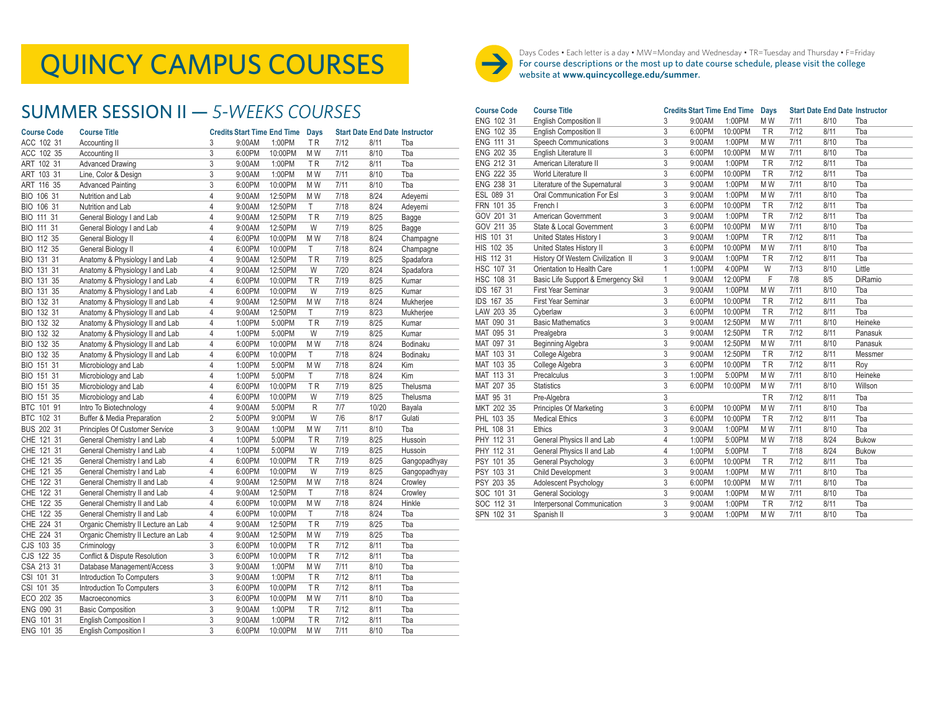### SUMMER SESSION II — *5-WEEKS COURSES*

| <b>Course Code</b> | <b>Course Title</b>                 |                | <b>Credits Start Time End Time</b> |         | <b>Days</b> |      |       | <b>Start Date End Date Instructor</b> |
|--------------------|-------------------------------------|----------------|------------------------------------|---------|-------------|------|-------|---------------------------------------|
| ACC 102 31         | Accounting II                       | 3              | 9:00AM                             | 1:00PM  | <b>TR</b>   | 7/12 | 8/11  | Tba                                   |
| ACC 102 35         | Accounting II                       | 3              | 6:00PM                             | 10:00PM | M W         | 7/11 | 8/10  | Tba                                   |
| ART 102 31         | <b>Advanced Drawing</b>             | 3              | 9:00AM                             | 1:00PM  | ΤR          | 7/12 | 8/11  | Tba                                   |
| ART 103 31         | Line, Color & Design                | 3              | 9:00AM                             | 1:00PM  | MW          | 7/11 | 8/10  | Tba                                   |
| ART 116 35         | <b>Advanced Painting</b>            | 3              | 6:00PM                             | 10:00PM | M W         | 7/11 | 8/10  | Tba                                   |
| BIO 106 31         | Nutrition and Lab                   | $\overline{4}$ | 9:00AM                             | 12:50PM | M W         | 7/18 | 8/24  | Adevemi                               |
| BIO 106 31         | Nutrition and Lab                   | $\overline{4}$ | 9:00AM                             | 12:50PM | Τ           | 7/18 | 8/24  | Adeyemi                               |
| BIO 111 31         | General Biology I and Lab           | 4              | 9:00AM                             | 12:50PM | TR          | 7/19 | 8/25  | Bagge                                 |
| BIO 111 31         | General Biology I and Lab           | $\overline{4}$ | 9:00AM                             | 12:50PM | W           | 7/19 | 8/25  | Bagge                                 |
| BIO 112 35         | General Biology II                  | $\overline{4}$ | 6:00PM                             | 10:00PM | M W         | 7/18 | 8/24  | Champagne                             |
| BIO 112 35         | General Biology II                  | $\overline{4}$ | 6:00PM                             | 10:00PM | Τ           | 7/18 | 8/24  | Champagne                             |
| BIO 131 31         | Anatomy & Physiology I and Lab      | 4              | 9:00AM                             | 12:50PM | ΤR          | 7/19 | 8/25  | Spadafora                             |
| BIO 131 31         | Anatomy & Physiology I and Lab      | 4              | 9:00AM                             | 12:50PM | W           | 7/20 | 8/24  | Spadafora                             |
| BIO 131 35         | Anatomy & Physiology I and Lab      | 4              | 6:00PM                             | 10:00PM | ΤR          | 7/19 | 8/25  | Kumar                                 |
| BIO 131 35         | Anatomy & Physiology I and Lab      | $\overline{4}$ | 6:00PM                             | 10:00PM | W           | 7/19 | 8/25  | Kumar                                 |
| BIO 132 31         | Anatomy & Physiology II and Lab     | $\overline{4}$ | 9:00AM                             | 12:50PM | M W         | 7/18 | 8/24  | Mukherjee                             |
| BIO 132 31         | Anatomy & Physiology II and Lab     | 4              | 9:00AM                             | 12:50PM | Τ           | 7/19 | 8/23  | Mukherjee                             |
| BIO 132 32         | Anatomy & Physiology II and Lab     | $\overline{4}$ | 1:00PM                             | 5:00PM  | <b>TR</b>   | 7/19 | 8/25  | Kumar                                 |
| BIO 132 32         | Anatomy & Physiology II and Lab     | $\overline{4}$ | 1:00PM                             | 5:00PM  | W           | 7/19 | 8/25  | Kumar                                 |
| BIO 132 35         | Anatomy & Physiology II and Lab     | 4              | 6:00PM                             | 10:00PM | M W         | 7/18 | 8/24  | Bodinaku                              |
| BIO 132 35         | Anatomy & Physiology II and Lab     | 4              | 6:00PM                             | 10:00PM | Τ           | 7/18 | 8/24  | Bodinaku                              |
| BIO 151 31         | Microbiology and Lab                | 4              | 1:00PM                             | 5:00PM  | MW          | 7/18 | 8/24  | Kim                                   |
| BIO 151 31         | Microbiology and Lab                | 4              | 1:00PM                             | 5:00PM  | Τ           | 7/18 | 8/24  | Kim                                   |
| BIO 151 35         | Microbiology and Lab                | $\overline{4}$ | 6:00PM                             | 10:00PM | ΤR          | 7/19 | 8/25  | Thelusma                              |
| BIO 151 35         | Microbiology and Lab                | $\overline{4}$ | 6:00PM                             | 10:00PM | W           | 7/19 | 8/25  | Thelusma                              |
| BTC 101 91         | Intro To Biotechnology              | 4              | 9:00AM                             | 5:00PM  | R           | 7/7  | 10/20 | Bayala                                |
| BTC 102 31         | Buffer & Media Preparation          | $\overline{2}$ | 5:00PM                             | 9:00PM  | W           | 7/6  | 8/17  | Gulati                                |
| BUS 202 31         | Principles Of Customer Service      | 3              | 9:00AM                             | 1:00PM  | M W         | 7/11 | 8/10  | Tba                                   |
| CHE 121 31         | General Chemistry I and Lab         | $\overline{4}$ | 1:00PM                             | 5:00PM  | <b>TR</b>   | 7/19 | 8/25  | Hussoin                               |
| CHE 121 31         | General Chemistry I and Lab         | 4              | 1:00PM                             | 5:00PM  | W           | 7/19 | 8/25  | Hussoin                               |
| CHE 121 35         | General Chemistry I and Lab         | 4              | 6:00PM                             | 10:00PM | TR          | 7/19 | 8/25  | Gangopadhyay                          |
| CHE 121 35         | General Chemistry I and Lab         | 4              | 6:00PM                             | 10:00PM | W           | 7/19 | 8/25  | Gangopadhyay                          |
| CHE 122 31         | General Chemistry II and Lab        | $\overline{4}$ | 9:00AM                             | 12:50PM | M W         | 7/18 | 8/24  | Crowley                               |
| CHE 122 31         | General Chemistry II and Lab        | $\overline{4}$ | 9:00AM                             | 12:50PM | T           | 7/18 | 8/24  | Crowley                               |
| CHE 122 35         | General Chemistry II and Lab        | 4              | 6:00PM                             | 10:00PM | M W         | 7/18 | 8/24  | Hinkle                                |
| CHE 122 35         | General Chemistry II and Lab        | $\overline{4}$ | 6:00PM                             | 10:00PM | Τ           | 7/18 | 8/24  | Tba                                   |
| CHE 224 31         | Organic Chemistry II Lecture an Lab | 4              | 9:00AM                             | 12:50PM | TR          | 7/19 | 8/25  | Tba                                   |
| CHE 224 31         | Organic Chemistry II Lecture an Lab | 4              | 9:00AM                             | 12:50PM | M W         | 7/19 | 8/25  | Tba                                   |
| CJS 103 35         | Criminology                         | 3              | 6:00PM                             | 10:00PM | ΤR          | 7/12 | 8/11  | Tba                                   |
| CJS 122 35         | Conflict & Dispute Resolution       | 3              | 6:00PM                             | 10:00PM | <b>TR</b>   | 7/12 | 8/11  | Tba                                   |
| CSA 213 31         | Database Management/Access          | 3              | 9:00AM                             | 1:00PM  | M W         | 7/11 | 8/10  | Tba                                   |
| CSI 101 31         | Introduction To Computers           | 3              | 9:00AM                             | 1:00PM  | <b>TR</b>   | 7/12 | 8/11  | Tba                                   |
| CSI 101 35         | Introduction To Computers           | 3              | 6:00PM                             | 10:00PM | <b>TR</b>   | 7/12 | 8/11  | Tba                                   |
| ECO 202 35         | Macroeconomics                      | 3              | 6:00PM                             | 10:00PM | M W         | 7/11 | 8/10  | Tba                                   |
| ENG 090 31         | <b>Basic Composition</b>            | 3              | 9:00AM                             | 1:00PM  | TR          | 7/12 | 8/11  | Tba                                   |
| ENG 101 31         | <b>English Composition I</b>        | 3              | 9:00AM                             | 1:00PM  | TR          | 7/12 | 8/11  | Tba                                   |
| ENG 101 35         | <b>English Composition I</b>        | 3              | 6:00PM                             | 10:00PM | M W         | 7/11 | 8/10  | Tba                                   |
|                    |                                     |                |                                    |         |             |      |       |                                       |



 $\textbf{QUNCY CAMPUS COURSES}\ \textcolor{red}{\bullet}\ \textcolor{red}{\bullet}\ \textcolor{red}{\bullet}\ \textcolor{red}{\bullet}\ \textcolor{red}{\bullet}\ \textcolor{red}{\bullet}\ \textcolor{red}{\bullet}\ \textcolor{red}{\bullet}\ \textcolor{red}{\bullet}\ \textcolor{red}{\bullet}\ \textcolor{red}{\bullet}\ \textcolor{red}{\bullet}\ \textcolor{red}{\bullet}\ \textcolor{red}{\bullet}\ \textcolor{red}{\bullet}\ \textcolor{red}{\bullet}\ \textcolor{red}{\bullet}\ \textcolor{red}{\bullet}\ \textcolor{red}{\bullet}\ \textcolor{red}{\bullet}\ \textcolor{red}{\bullet}\ \textcolor{red}{\bullet}\ \textcolor{red}{\bullet}\$ For course descriptions or the most up to date course schedule, please visit the college website at **www.quincycollege.edu/summer**.

| <b>Course Code</b> | <b>Course Title</b>                 |              | <b>Credits Start Time End Time</b> |         | <b>Days</b>    |      |      | <b>Start Date End Date Instructor</b> |
|--------------------|-------------------------------------|--------------|------------------------------------|---------|----------------|------|------|---------------------------------------|
| ENG 102 31         | <b>English Composition II</b>       | 3            | 9:00AM                             | 1:00PM  | M W            | 7/11 | 8/10 | Tba                                   |
| ENG 102 35         | English Composition II              | 3            | 6:00PM                             | 10:00PM | <b>TR</b>      | 7/12 | 8/11 | Tba                                   |
| ENG 111 31         | <b>Speech Communications</b>        | 3            | 9:00AM                             | 1:00PM  | M <sub>W</sub> | 7/11 | 8/10 | Tba                                   |
| ENG 202 35         | English Literature II               | 3            | 6:00PM                             | 10:00PM | M <sub>W</sub> | 7/11 | 8/10 | Tba                                   |
| ENG 212 31         | American Literature II              | 3            | 9:00AM                             | 1:00PM  | <b>TR</b>      | 7/12 | 8/11 | Tba                                   |
| ENG 222 35         | World Literature II                 | 3            | 6:00PM                             | 10:00PM | <b>TR</b>      | 7/12 | 8/11 | Tba                                   |
| ENG 238 31         | Literature of the Supernatural      | 3            | 9:00AM                             | 1:00PM  | M W            | 7/11 | 8/10 | Tba                                   |
| ESL 089 31         | Oral Communication For Esl          | 3            | 9:00AM                             | 1:00PM  | M <sub>W</sub> | 7/11 | 8/10 | Tba                                   |
| FRN 101 35         | French I                            | 3            | 6:00PM                             | 10:00PM | <b>TR</b>      | 7/12 | 8/11 | Tba                                   |
| GOV 201 31         | American Government                 | 3            | 9:00AM                             | 1:00PM  | <b>TR</b>      | 7/12 | 8/11 | Tba                                   |
| GOV 211 35         | State & Local Government            | 3            | 6:00PM                             | 10:00PM | M W            | 7/11 | 8/10 | Tba                                   |
| HIS 101 31         | United States History I             | 3            | 9:00AM                             | 1:00PM  | <b>TR</b>      | 7/12 | 8/11 | Tba                                   |
| HIS 102 35         | United States History II            | 3            | 6:00PM                             | 10:00PM | M W            | 7/11 | 8/10 | Tba                                   |
| HIS 112 31         | History Of Western Civilization II  | 3            | 9:00AM                             | 1:00PM  | <b>TR</b>      | 7/12 | 8/11 | Tba                                   |
| HSC 107 31         | Orientation to Health Care          | 1            | 1:00PM                             | 4:00PM  | W              | 7/13 | 8/10 | Little                                |
| HSC 108 31         | Basic Life Support & Emergency Skil | $\mathbf{1}$ | 9:00AM                             | 12:00PM | F              | 7/8  | 8/5  | <b>DiRamio</b>                        |
| IDS 167 31         | First Year Seminar                  | 3            | 9:00AM                             | 1:00PM  | M W            | 7/11 | 8/10 | Tba                                   |
| IDS 167 35         | First Year Seminar                  | 3            | 6:00PM                             | 10:00PM | <b>TR</b>      | 7/12 | 8/11 | Tba                                   |
| LAW 203 35         | Cyberlaw                            | 3            | 6:00PM                             | 10:00PM | <b>TR</b>      | 7/12 | 8/11 | Tba                                   |
| MAT 090 31         | <b>Basic Mathematics</b>            | 3            | 9:00AM                             | 12:50PM | M W            | 7/11 | 8/10 | Heineke                               |
| MAT 095 31         | Prealgebra                          | 3            | 9:00AM                             | 12:50PM | <b>TR</b>      | 7/12 | 8/11 | Panasuk                               |
| MAT 097 31         | Beginning Algebra                   | 3            | 9:00AM                             | 12:50PM | M W            | 7/11 | 8/10 | Panasuk                               |
| MAT 103 31         | College Algebra                     | 3            | 9:00AM                             | 12:50PM | <b>TR</b>      | 7/12 | 8/11 | Messmer                               |
| MAT 103 35         | College Algebra                     | 3            | 6:00PM                             | 10:00PM | <b>TR</b>      | 7/12 | 8/11 | Roy                                   |
| MAT 113 31         | Precalculus                         | 3            | 1:00PM                             | 5:00PM  | M W            | 7/11 | 8/10 | Heineke                               |
| MAT 207 35         | <b>Statistics</b>                   | 3            | 6:00PM                             | 10:00PM | M W            | 7/11 | 8/10 | Willson                               |
| MAT 95 31          | Pre-Algebra                         | 3            |                                    |         | <b>TR</b>      | 7/12 | 8/11 | Tba                                   |
| MKT 202 35         | Principles Of Marketing             | 3            | 6:00PM                             | 10:00PM | M W            | 7/11 | 8/10 | Tba                                   |
| PHL 103 35         | <b>Medical Ethics</b>               | 3            | 6:00PM                             | 10:00PM | <b>TR</b>      | 7/12 | 8/11 | Tba                                   |
| PHL 108 31         | Ethics                              | 3            | 9:00AM                             | 1:00PM  | M W            | 7/11 | 8/10 | Tba                                   |
| PHY 112 31         | General Physics II and Lab          | 4            | 1:00PM                             | 5:00PM  | M W            | 7/18 | 8/24 | Bukow                                 |
| PHY 112 31         | General Physics II and Lab          | 4            | 1:00PM                             | 5:00PM  | T              | 7/18 | 8/24 | <b>Bukow</b>                          |
| PSY 101 35         | General Psychology                  | 3            | 6:00PM                             | 10:00PM | <b>TR</b>      | 7/12 | 8/11 | Tba                                   |
| PSY 103 31         | Child Development                   | 3            | 9:00AM                             | 1:00PM  | M W            | 7/11 | 8/10 | Tba                                   |
| PSY 203 35         | Adolescent Psychology               | 3            | 6:00PM                             | 10:00PM | M <sub>W</sub> | 7/11 | 8/10 | Tba                                   |
| SOC 101 31         | <b>General Sociology</b>            | 3            | 9:00AM                             | 1:00PM  | M <sub>W</sub> | 7/11 | 8/10 | Tba                                   |
| SOC 112 31         | Interpersonal Communication         | 3            | 9:00AM                             | 1:00PM  | <b>TR</b>      | 7/12 | 8/11 | Tba                                   |
| SPN 102 31         | Spanish II                          | 3            | 9:00AM                             | 1:00PM  | M <sub>W</sub> | 7/11 | 8/10 | Tba                                   |